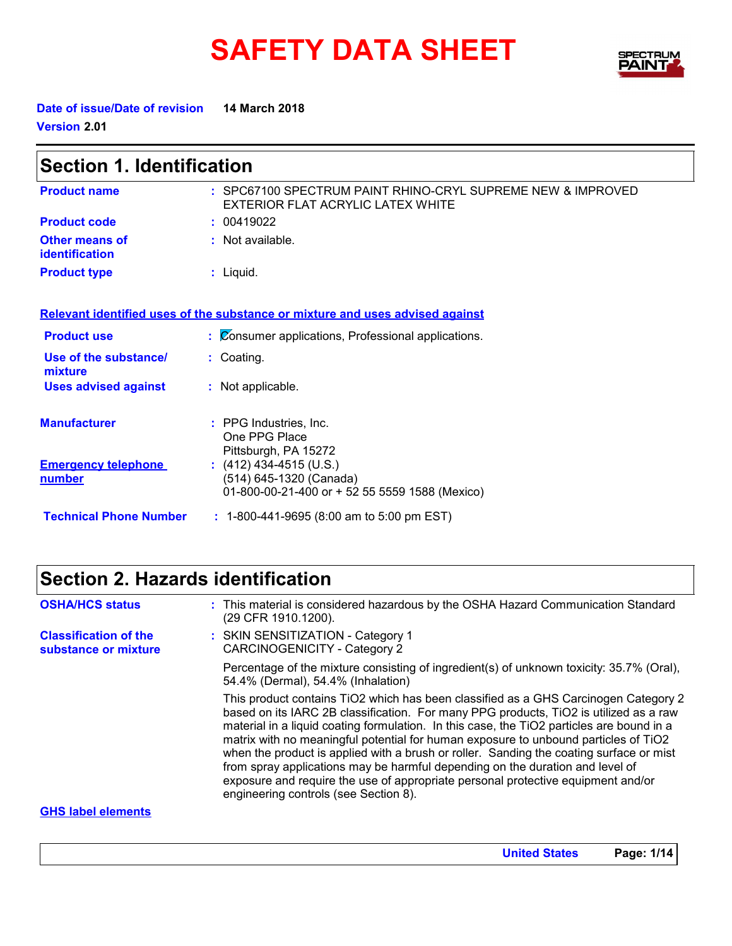# **SAFETY DATA SHEET** FEELBER



**Date of issue/Date of revision 14 March 2018 Version 2.01**

| <b>Section 1. Identification</b>        |                                                                                                      |  |
|-----------------------------------------|------------------------------------------------------------------------------------------------------|--|
| <b>Product name</b>                     | : SPC67100 SPECTRUM PAINT RHINO-CRYL SUPREME NEW & IMPROVED<br>EXTERIOR FLAT ACRYLIC LATEX WHITE     |  |
| <b>Product code</b>                     | : 00419022                                                                                           |  |
| <b>Other means of</b><br>identification | $:$ Not available.                                                                                   |  |
| <b>Product type</b>                     | $:$ Liquid.                                                                                          |  |
|                                         | Relevant identified uses of the substance or mixture and uses advised against                        |  |
| <b>Product use</b>                      | : Consumer applications, Professional applications.                                                  |  |
| Use of the substance/<br>mixture        | : Coating.                                                                                           |  |
| <b>Uses advised against</b>             | : Not applicable.                                                                                    |  |
| <b>Manufacturer</b>                     | $:$ PPG Industries. Inc.<br>One PPG Place<br>Pittsburgh, PA 15272                                    |  |
| <b>Emergency telephone</b><br>number    | $(412)$ 434-4515 (U.S.)<br>(514) 645-1320 (Canada)<br>01-800-00-21-400 or + 52 55 5559 1588 (Mexico) |  |
| <b>Technical Phone Number</b>           | : 1-800-441-9695 (8:00 am to 5:00 pm EST)                                                            |  |

# **Section 2. Hazards identification**

| <b>OSHA/HCS status</b>                               | : This material is considered hazardous by the OSHA Hazard Communication Standard<br>(29 CFR 1910.1200).                                                                                                                                                                                                                                                                                                                                                                                                                                                                                                                                                                  |
|------------------------------------------------------|---------------------------------------------------------------------------------------------------------------------------------------------------------------------------------------------------------------------------------------------------------------------------------------------------------------------------------------------------------------------------------------------------------------------------------------------------------------------------------------------------------------------------------------------------------------------------------------------------------------------------------------------------------------------------|
| <b>Classification of the</b><br>substance or mixture | : SKIN SENSITIZATION - Category 1<br>CARCINOGENICITY - Category 2                                                                                                                                                                                                                                                                                                                                                                                                                                                                                                                                                                                                         |
|                                                      | Percentage of the mixture consisting of ingredient(s) of unknown toxicity: 35.7% (Oral),<br>54.4% (Dermal), 54.4% (Inhalation)                                                                                                                                                                                                                                                                                                                                                                                                                                                                                                                                            |
|                                                      | This product contains TiO2 which has been classified as a GHS Carcinogen Category 2<br>based on its IARC 2B classification. For many PPG products, TiO2 is utilized as a raw<br>material in a liquid coating formulation. In this case, the TiO2 particles are bound in a<br>matrix with no meaningful potential for human exposure to unbound particles of TiO2<br>when the product is applied with a brush or roller. Sanding the coating surface or mist<br>from spray applications may be harmful depending on the duration and level of<br>exposure and require the use of appropriate personal protective equipment and/or<br>engineering controls (see Section 8). |
| CUC lohal alamanta                                   |                                                                                                                                                                                                                                                                                                                                                                                                                                                                                                                                                                                                                                                                           |

#### **GHS label elements**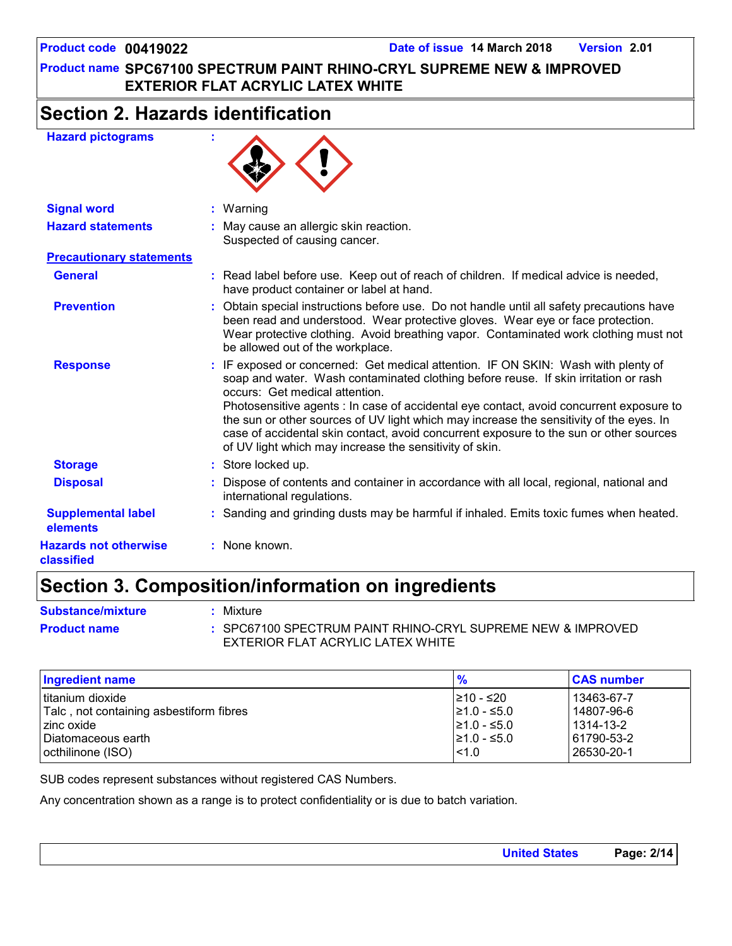# **Section 2. Hazards identification**

### **Hazard pictograms :**



| <b>Signal word</b>                         | $:$ Warning                                                                                                                                                                                                                                                                                                                                                                                                                                                                                                                                           |
|--------------------------------------------|-------------------------------------------------------------------------------------------------------------------------------------------------------------------------------------------------------------------------------------------------------------------------------------------------------------------------------------------------------------------------------------------------------------------------------------------------------------------------------------------------------------------------------------------------------|
| <b>Hazard statements</b>                   | : May cause an allergic skin reaction.<br>Suspected of causing cancer.                                                                                                                                                                                                                                                                                                                                                                                                                                                                                |
| <b>Precautionary statements</b>            |                                                                                                                                                                                                                                                                                                                                                                                                                                                                                                                                                       |
| <b>General</b>                             | : Read label before use. Keep out of reach of children. If medical advice is needed,<br>have product container or label at hand.                                                                                                                                                                                                                                                                                                                                                                                                                      |
| <b>Prevention</b>                          | : Obtain special instructions before use. Do not handle until all safety precautions have<br>been read and understood. Wear protective gloves. Wear eye or face protection.<br>Wear protective clothing. Avoid breathing vapor. Contaminated work clothing must not<br>be allowed out of the workplace.                                                                                                                                                                                                                                               |
| <b>Response</b>                            | : IF exposed or concerned: Get medical attention. IF ON SKIN: Wash with plenty of<br>soap and water. Wash contaminated clothing before reuse. If skin irritation or rash<br>occurs: Get medical attention.<br>Photosensitive agents : In case of accidental eye contact, avoid concurrent exposure to<br>the sun or other sources of UV light which may increase the sensitivity of the eyes. In<br>case of accidental skin contact, avoid concurrent exposure to the sun or other sources<br>of UV light which may increase the sensitivity of skin. |
| <b>Storage</b>                             | : Store locked up.                                                                                                                                                                                                                                                                                                                                                                                                                                                                                                                                    |
| <b>Disposal</b>                            | : Dispose of contents and container in accordance with all local, regional, national and<br>international regulations.                                                                                                                                                                                                                                                                                                                                                                                                                                |
| <b>Supplemental label</b><br>elements      | : Sanding and grinding dusts may be harmful if inhaled. Emits toxic fumes when heated.                                                                                                                                                                                                                                                                                                                                                                                                                                                                |
| <b>Hazards not otherwise</b><br>classified | : None known.                                                                                                                                                                                                                                                                                                                                                                                                                                                                                                                                         |

# **Section 3. Composition/information on ingredients**

| <b>Substance/mixture</b> | Mixture                                                     |
|--------------------------|-------------------------------------------------------------|
| <b>Product name</b>      | : SPC67100 SPECTRUM PAINT RHINO-CRYL SUPREME NEW & IMPROVED |
|                          | EXTERIOR FLAT ACRYLIC LATEX WHITE                           |

| <b>Ingredient name</b>                  | $\frac{9}{6}$    | <b>CAS number</b> |
|-----------------------------------------|------------------|-------------------|
| Ititanium dioxide                       | I≥10 - ≤20       | 13463-67-7        |
| Talc, not containing asbestiform fibres | $≥1.0 - ≤5.0$    | 14807-96-6        |
| zinc oxide                              | $\geq 1.0 - 5.0$ | 1314-13-2         |
| I Diatomaceous earth                    | $\geq 1.0 - 5.0$ | 61790-53-2        |
| octhilinone (ISO)                       | 1.0              | 26530-20-1        |

SUB codes represent substances without registered CAS Numbers.

Any concentration shown as a range is to protect confidentiality or is due to batch variation.

| <b>United States</b> | Page: 2/14 |
|----------------------|------------|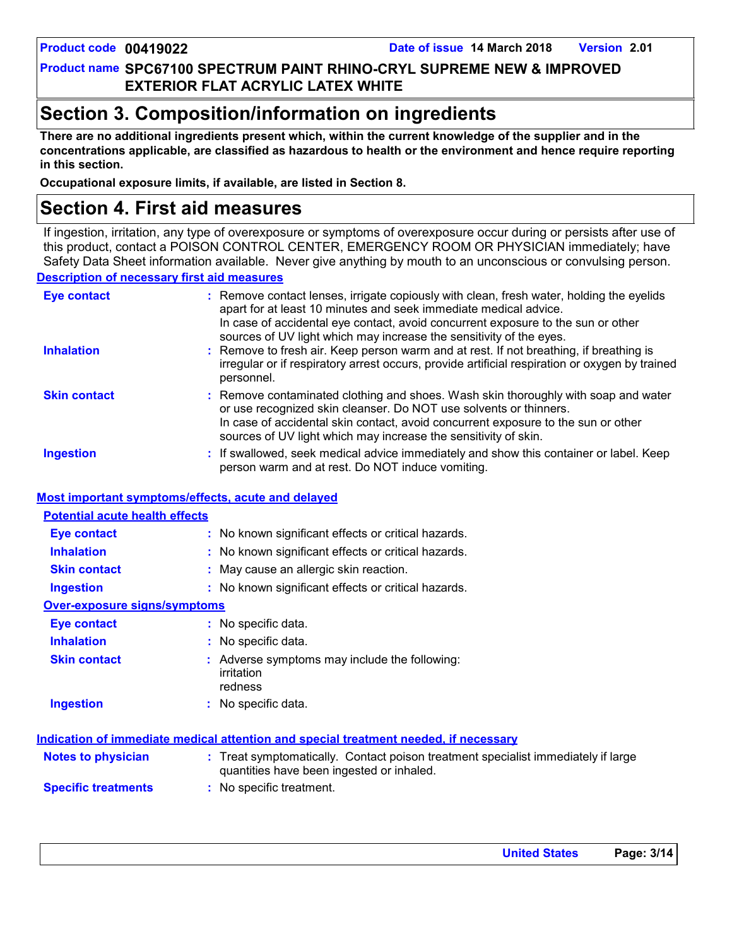# **Section 3. Composition/information on ingredients**

**There are no additional ingredients present which, within the current knowledge of the supplier and in the concentrations applicable, are classified as hazardous to health or the environment and hence require reporting in this section.**

**Occupational exposure limits, if available, are listed in Section 8.**

# **Section 4. First aid measures**

**Description of necessary first aid measures** If ingestion, irritation, any type of overexposure or symptoms of overexposure occur during or persists after use of this product, contact a POISON CONTROL CENTER, EMERGENCY ROOM OR PHYSICIAN immediately; have Safety Data Sheet information available. Never give anything by mouth to an unconscious or convulsing person.

| <b>Eye contact</b>  | : Remove contact lenses, irrigate copiously with clean, fresh water, holding the eyelids<br>apart for at least 10 minutes and seek immediate medical advice.<br>In case of accidental eye contact, avoid concurrent exposure to the sun or other<br>sources of UV light which may increase the sensitivity of the eyes. |  |
|---------------------|-------------------------------------------------------------------------------------------------------------------------------------------------------------------------------------------------------------------------------------------------------------------------------------------------------------------------|--|
| <b>Inhalation</b>   | : Remove to fresh air. Keep person warm and at rest. If not breathing, if breathing is<br>irregular or if respiratory arrest occurs, provide artificial respiration or oxygen by trained<br>personnel.                                                                                                                  |  |
| <b>Skin contact</b> | : Remove contaminated clothing and shoes. Wash skin thoroughly with soap and water<br>or use recognized skin cleanser. Do NOT use solvents or thinners.<br>In case of accidental skin contact, avoid concurrent exposure to the sun or other<br>sources of UV light which may increase the sensitivity of skin.         |  |
| <b>Ingestion</b>    | : If swallowed, seek medical advice immediately and show this container or label. Keep<br>person warm and at rest. Do NOT induce vomiting.                                                                                                                                                                              |  |

#### **Most important symptoms/effects, acute and delayed**

| <b>Potential acute health effects</b> |                                                                                                                                |
|---------------------------------------|--------------------------------------------------------------------------------------------------------------------------------|
| Eye contact                           | : No known significant effects or critical hazards.                                                                            |
| <b>Inhalation</b>                     | : No known significant effects or critical hazards.                                                                            |
| <b>Skin contact</b>                   | May cause an allergic skin reaction.                                                                                           |
| <b>Ingestion</b>                      | : No known significant effects or critical hazards.                                                                            |
| <b>Over-exposure signs/symptoms</b>   |                                                                                                                                |
| Eye contact                           | : No specific data.                                                                                                            |
| <b>Inhalation</b>                     | : No specific data.                                                                                                            |
| <b>Skin contact</b>                   | : Adverse symptoms may include the following:<br>irritation<br>redness                                                         |
| <b>Ingestion</b>                      | : No specific data.                                                                                                            |
|                                       | <u>Indication of immediate medical attention and special treatment needed, if necessary</u>                                    |
| Notes to physician                    | : Treat symptomatically. Contact poison treatment specialist immediately if large<br>quantities have been ingested or inhaled. |
| <b>Specific treatments</b>            | : No specific treatment.                                                                                                       |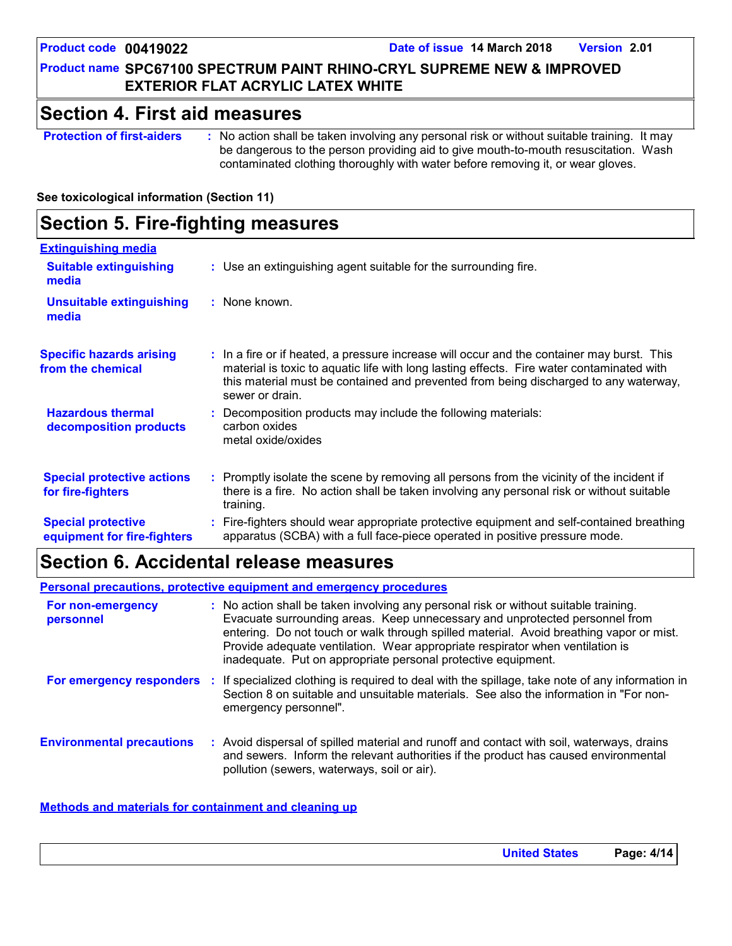**Product code 00419022 Date of issue 14 March 2018 Version 2.01**

### **Product name SPC67100 SPECTRUM PAINT RHINO-CRYL SUPREME NEW & IMPROVED EXTERIOR FLAT ACRYLIC LATEX WHITE**

### **Section 4. First aid measures**

**Protection of first-aiders :** No action shall be taken involving any personal risk or without suitable training. It may be dangerous to the person providing aid to give mouth-to-mouth resuscitation. Wash contaminated clothing thoroughly with water before removing it, or wear gloves.

**See toxicological information (Section 11)**

#### **Section 5. Fire-fighting measures :** Promptly isolate the scene by removing all persons from the vicinity of the incident if there is a fire. No action shall be taken involving any personal risk or without suitable training. **Hazardous thermal decomposition products Specific hazards arising from the chemical** Decomposition products may include the following materials: **:** carbon oxides metal oxide/oxides **:** In a fire or if heated, a pressure increase will occur and the container may burst. This material is toxic to aquatic life with long lasting effects. Fire water contaminated with this material must be contained and prevented from being discharged to any waterway, sewer or drain. Fire-fighters should wear appropriate protective equipment and self-contained breathing **:** apparatus (SCBA) with a full face-piece operated in positive pressure mode. **Special protective equipment for fire-fighters** Use an extinguishing agent suitable for the surrounding fire. **: Extinguishing media :** None known. **Suitable extinguishing media Unsuitable extinguishing media Special protective actions for fire-fighters**

### **Section 6. Accidental release measures**

**Personal precautions, protective equipment and emergency procedures**

| For non-emergency<br>personnel   | : No action shall be taken involving any personal risk or without suitable training.<br>Evacuate surrounding areas. Keep unnecessary and unprotected personnel from<br>entering. Do not touch or walk through spilled material. Avoid breathing vapor or mist.<br>Provide adequate ventilation. Wear appropriate respirator when ventilation is<br>inadequate. Put on appropriate personal protective equipment. |
|----------------------------------|------------------------------------------------------------------------------------------------------------------------------------------------------------------------------------------------------------------------------------------------------------------------------------------------------------------------------------------------------------------------------------------------------------------|
| For emergency responders         | : If specialized clothing is required to deal with the spillage, take note of any information in<br>Section 8 on suitable and unsuitable materials. See also the information in "For non-<br>emergency personnel".                                                                                                                                                                                               |
| <b>Environmental precautions</b> | : Avoid dispersal of spilled material and runoff and contact with soil, waterways, drains<br>and sewers. Inform the relevant authorities if the product has caused environmental<br>pollution (sewers, waterways, soil or air).                                                                                                                                                                                  |

#### **Methods and materials for containment and cleaning up**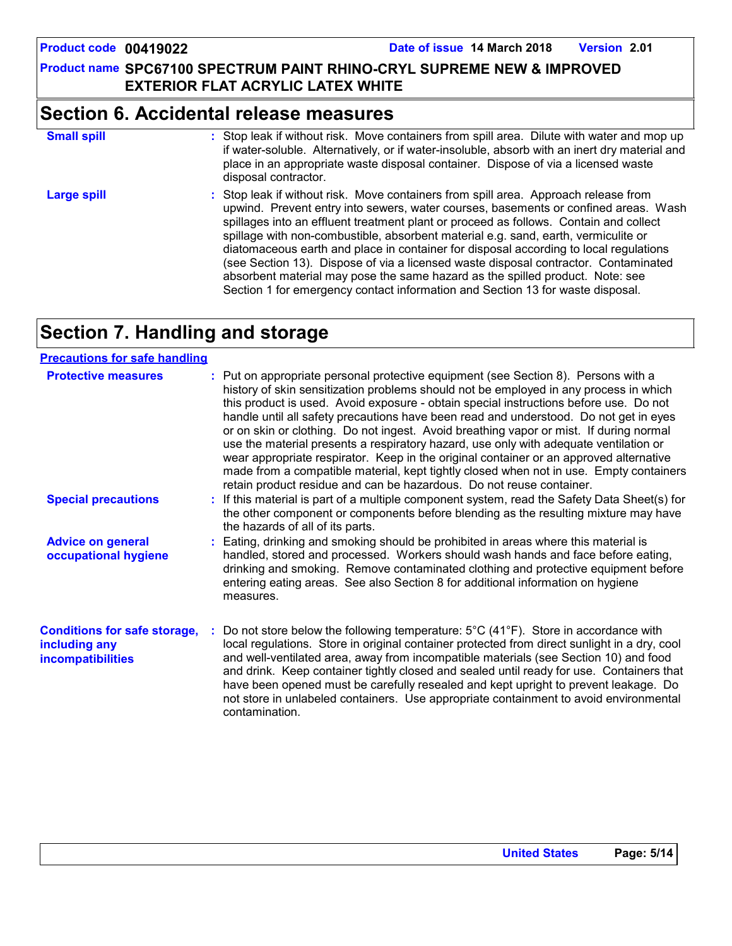(see Section 13). Dispose of via a licensed waste disposal contractor. Contaminated absorbent material may pose the same hazard as the spilled product. Note: see Section 1 for emergency contact information and Section 13 for waste disposal.

spill area. Dilute with water and mop up

### **Product name SPC67100 SPECTRUM PAINT RHINO-CRYL SUPREME NEW & IMPROVED EXTERIOR FLAT ACRYLIC LATEX WHITE**

### **Section 6. Accidental release measures**

| <b>Small spill</b> | : Stop leak if without risk. Move containers from spill area. Dilute with water and mop up<br>if water-soluble. Alternatively, or if water-insoluble, absorb with an inert dry material and<br>place in an appropriate waste disposal container. Dispose of via a licensed waste<br>disposal contractor.                                                                                                                                           |
|--------------------|----------------------------------------------------------------------------------------------------------------------------------------------------------------------------------------------------------------------------------------------------------------------------------------------------------------------------------------------------------------------------------------------------------------------------------------------------|
| <b>Large spill</b> | : Stop leak if without risk. Move containers from spill area. Approach release from<br>upwind. Prevent entry into sewers, water courses, basements or confined areas. Wash<br>spillages into an effluent treatment plant or proceed as follows. Contain and collect<br>spillage with non-combustible, absorbent material e.g. sand, earth, vermiculite or<br>diatomaceous earth and place in container for disposal according to local regulations |

# **Section 7. Handling and storage**

| <b>Precautions for safe handling</b>                                             |                                                                                                                                                                                                                                                                                                                                                                                                                                                                                                                                                                                                                                                                                                                                                                                                              |
|----------------------------------------------------------------------------------|--------------------------------------------------------------------------------------------------------------------------------------------------------------------------------------------------------------------------------------------------------------------------------------------------------------------------------------------------------------------------------------------------------------------------------------------------------------------------------------------------------------------------------------------------------------------------------------------------------------------------------------------------------------------------------------------------------------------------------------------------------------------------------------------------------------|
| <b>Protective measures</b>                                                       | : Put on appropriate personal protective equipment (see Section 8). Persons with a<br>history of skin sensitization problems should not be employed in any process in which<br>this product is used. Avoid exposure - obtain special instructions before use. Do not<br>handle until all safety precautions have been read and understood. Do not get in eyes<br>or on skin or clothing. Do not ingest. Avoid breathing vapor or mist. If during normal<br>use the material presents a respiratory hazard, use only with adequate ventilation or<br>wear appropriate respirator. Keep in the original container or an approved alternative<br>made from a compatible material, kept tightly closed when not in use. Empty containers<br>retain product residue and can be hazardous. Do not reuse container. |
| <b>Special precautions</b>                                                       | : If this material is part of a multiple component system, read the Safety Data Sheet(s) for<br>the other component or components before blending as the resulting mixture may have<br>the hazards of all of its parts.                                                                                                                                                                                                                                                                                                                                                                                                                                                                                                                                                                                      |
| <b>Advice on general</b><br>occupational hygiene                                 | : Eating, drinking and smoking should be prohibited in areas where this material is<br>handled, stored and processed. Workers should wash hands and face before eating,<br>drinking and smoking. Remove contaminated clothing and protective equipment before<br>entering eating areas. See also Section 8 for additional information on hygiene<br>measures.                                                                                                                                                                                                                                                                                                                                                                                                                                                |
| <b>Conditions for safe storage,</b><br>including any<br><b>incompatibilities</b> | Do not store below the following temperature: $5^{\circ}$ C (41 <sup>o</sup> F). Store in accordance with<br>local regulations. Store in original container protected from direct sunlight in a dry, cool<br>and well-ventilated area, away from incompatible materials (see Section 10) and food<br>and drink. Keep container tightly closed and sealed until ready for use. Containers that<br>have been opened must be carefully resealed and kept upright to prevent leakage. Do<br>not store in unlabeled containers. Use appropriate containment to avoid environmental<br>contamination.                                                                                                                                                                                                              |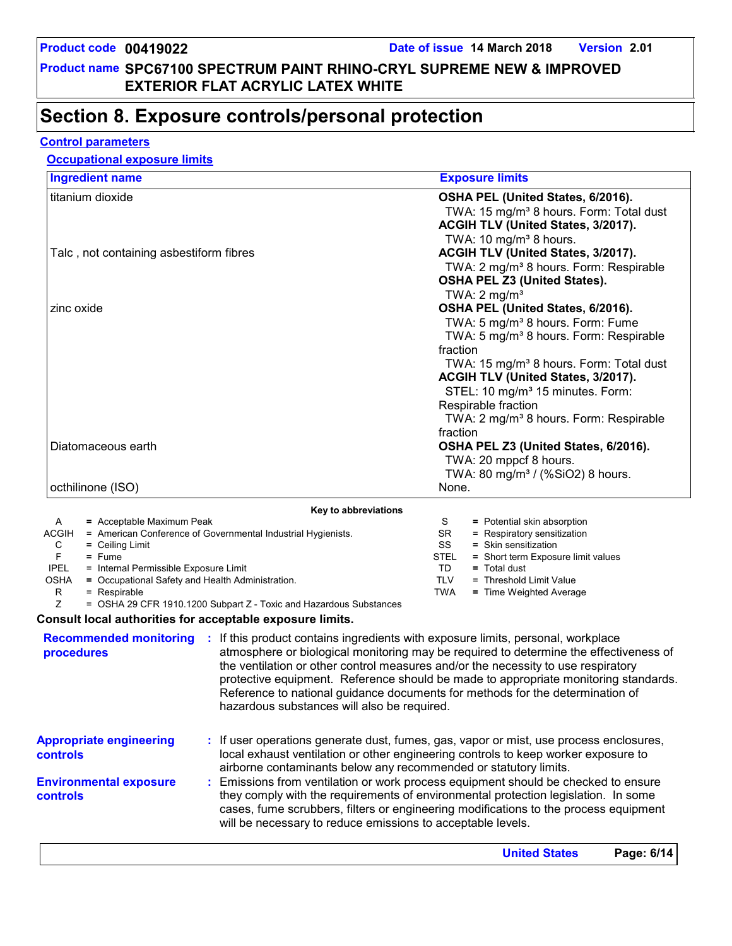# **Section 8. Exposure controls/personal protection**

#### **Control parameters**

### **Occupational exposure limits**

| <b>Ingredient name</b>                  | <b>Exposure limits</b>                              |
|-----------------------------------------|-----------------------------------------------------|
| titanium dioxide                        | OSHA PEL (United States, 6/2016).                   |
|                                         | TWA: 15 mg/m <sup>3</sup> 8 hours. Form: Total dust |
|                                         | ACGIH TLV (United States, 3/2017).                  |
|                                         | TWA: 10 $mg/m3$ 8 hours.                            |
| Talc, not containing asbestiform fibres | ACGIH TLV (United States, 3/2017).                  |
|                                         | TWA: 2 mg/m <sup>3</sup> 8 hours. Form: Respirable  |
|                                         | <b>OSHA PEL Z3 (United States).</b>                 |
|                                         | TWA: $2 \text{ mg/m}^3$                             |
| zinc oxide                              | OSHA PEL (United States, 6/2016).                   |
|                                         | TWA: 5 mg/m <sup>3</sup> 8 hours. Form: Fume        |
|                                         | TWA: 5 mg/m <sup>3</sup> 8 hours. Form: Respirable  |
|                                         | fraction                                            |
|                                         | TWA: 15 mg/m <sup>3</sup> 8 hours. Form: Total dust |
|                                         | ACGIH TLV (United States, 3/2017).                  |
|                                         | STEL: 10 mg/m <sup>3</sup> 15 minutes. Form:        |
|                                         | Respirable fraction                                 |
|                                         | TWA: 2 mg/m <sup>3</sup> 8 hours. Form: Respirable  |
|                                         | fraction                                            |
| Diatomaceous earth                      | OSHA PEL Z3 (United States, 6/2016).                |
|                                         | TWA: 20 mppcf 8 hours.                              |
|                                         | TWA: 80 mg/m <sup>3</sup> / (%SiO2) 8 hours.        |
| octhilinone (ISO)                       | None.                                               |

|             | <b>AUXISTS</b>                                               |      |                                    |
|-------------|--------------------------------------------------------------|------|------------------------------------|
| A           | $=$ Acceptable Maximum Peak                                  |      | = Potential skin absorption        |
| ACGIH       | = American Conference of Governmental Industrial Hygienists. | SR   | = Respiratory sensitization        |
| C           | $=$ Ceiling Limit                                            | SS   | $=$ Skin sensitization             |
|             | $=$ Fume                                                     | STEL | = Short term Exposure limit values |
| <b>IPEL</b> | = Internal Permissible Exposure Limit                        | TD   | $=$ Total dust                     |
| <b>OSHA</b> | = Occupational Safety and Health Administration.             | TLV  | = Threshold Limit Value            |
| R           | $=$ Respirable                                               | TWA  | = Time Weighted Average            |
|             |                                                              |      |                                    |

Z = OSHA 29 CFR 1910.1200 Subpart Z - Toxic and Hazardous Substances

#### **Consult local authorities for acceptable exposure limits.**

| <b>Recommended monitoring</b><br>procedures       | If this product contains ingredients with exposure limits, personal, workplace<br>atmosphere or biological monitoring may be required to determine the effectiveness of<br>the ventilation or other control measures and/or the necessity to use respiratory<br>protective equipment. Reference should be made to appropriate monitoring standards.<br>Reference to national guidance documents for methods for the determination of<br>hazardous substances will also be required. |
|---------------------------------------------------|-------------------------------------------------------------------------------------------------------------------------------------------------------------------------------------------------------------------------------------------------------------------------------------------------------------------------------------------------------------------------------------------------------------------------------------------------------------------------------------|
| <b>Appropriate engineering</b><br><b>controls</b> | : If user operations generate dust, fumes, gas, vapor or mist, use process enclosures,<br>local exhaust ventilation or other engineering controls to keep worker exposure to<br>airborne contaminants below any recommended or statutory limits.                                                                                                                                                                                                                                    |
| <b>Environmental exposure</b><br>controls         | : Emissions from ventilation or work process equipment should be checked to ensure<br>they comply with the requirements of environmental protection legislation. In some<br>cases, fume scrubbers, filters or engineering modifications to the process equipment<br>will be necessary to reduce emissions to acceptable levels.                                                                                                                                                     |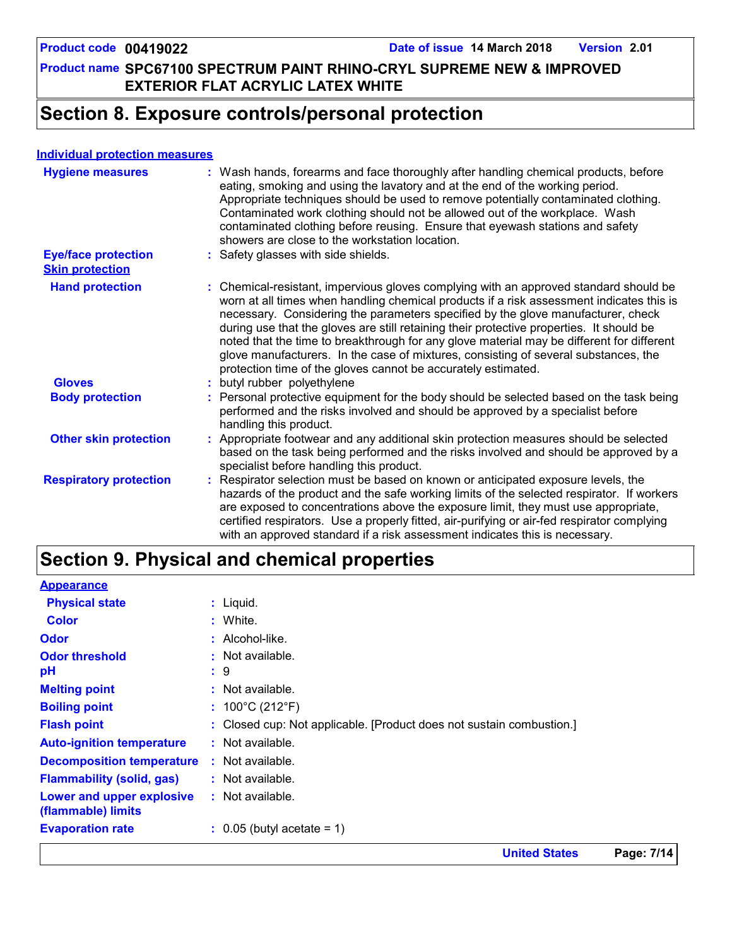# **Section 8. Exposure controls/personal protection**

#### **Individual protection measures**

| <b>Hygiene measures</b>                              | : Wash hands, forearms and face thoroughly after handling chemical products, before<br>eating, smoking and using the lavatory and at the end of the working period.<br>Appropriate techniques should be used to remove potentially contaminated clothing.<br>Contaminated work clothing should not be allowed out of the workplace. Wash<br>contaminated clothing before reusing. Ensure that eyewash stations and safety<br>showers are close to the workstation location.                                                                                                                                            |
|------------------------------------------------------|------------------------------------------------------------------------------------------------------------------------------------------------------------------------------------------------------------------------------------------------------------------------------------------------------------------------------------------------------------------------------------------------------------------------------------------------------------------------------------------------------------------------------------------------------------------------------------------------------------------------|
| <b>Eye/face protection</b><br><b>Skin protection</b> | : Safety glasses with side shields.                                                                                                                                                                                                                                                                                                                                                                                                                                                                                                                                                                                    |
| <b>Hand protection</b>                               | : Chemical-resistant, impervious gloves complying with an approved standard should be<br>worn at all times when handling chemical products if a risk assessment indicates this is<br>necessary. Considering the parameters specified by the glove manufacturer, check<br>during use that the gloves are still retaining their protective properties. It should be<br>noted that the time to breakthrough for any glove material may be different for different<br>glove manufacturers. In the case of mixtures, consisting of several substances, the<br>protection time of the gloves cannot be accurately estimated. |
| <b>Gloves</b>                                        | : butyl rubber polyethylene                                                                                                                                                                                                                                                                                                                                                                                                                                                                                                                                                                                            |
| <b>Body protection</b>                               | : Personal protective equipment for the body should be selected based on the task being<br>performed and the risks involved and should be approved by a specialist before<br>handling this product.                                                                                                                                                                                                                                                                                                                                                                                                                    |
| <b>Other skin protection</b>                         | : Appropriate footwear and any additional skin protection measures should be selected<br>based on the task being performed and the risks involved and should be approved by a<br>specialist before handling this product.                                                                                                                                                                                                                                                                                                                                                                                              |
| <b>Respiratory protection</b>                        | : Respirator selection must be based on known or anticipated exposure levels, the<br>hazards of the product and the safe working limits of the selected respirator. If workers<br>are exposed to concentrations above the exposure limit, they must use appropriate,<br>certified respirators. Use a properly fitted, air-purifying or air-fed respirator complying<br>with an approved standard if a risk assessment indicates this is necessary.                                                                                                                                                                     |

# **Section 9. Physical and chemical properties**

| <b>Appearance</b>                               |                                                                      |
|-------------------------------------------------|----------------------------------------------------------------------|
| <b>Physical state</b>                           | $:$ Liquid.                                                          |
| <b>Color</b>                                    | : White.                                                             |
| <b>Odor</b>                                     | $:$ Alcohol-like.                                                    |
| <b>Odor threshold</b>                           | $:$ Not available.                                                   |
| pH                                              | $\therefore$ 9                                                       |
| <b>Melting point</b>                            | $:$ Not available.                                                   |
| <b>Boiling point</b>                            | : $100^{\circ}$ C (212 $^{\circ}$ F)                                 |
| <b>Flash point</b>                              | : Closed cup: Not applicable. [Product does not sustain combustion.] |
| <b>Auto-ignition temperature</b>                | $:$ Not available.                                                   |
| <b>Decomposition temperature</b>                | $:$ Not available.                                                   |
| <b>Flammability (solid, gas)</b>                | $:$ Not available.                                                   |
| Lower and upper explosive<br>(flammable) limits | $:$ Not available.                                                   |
| <b>Evaporation rate</b>                         | $\therefore$ 0.05 (butyl acetate = 1)                                |
|                                                 |                                                                      |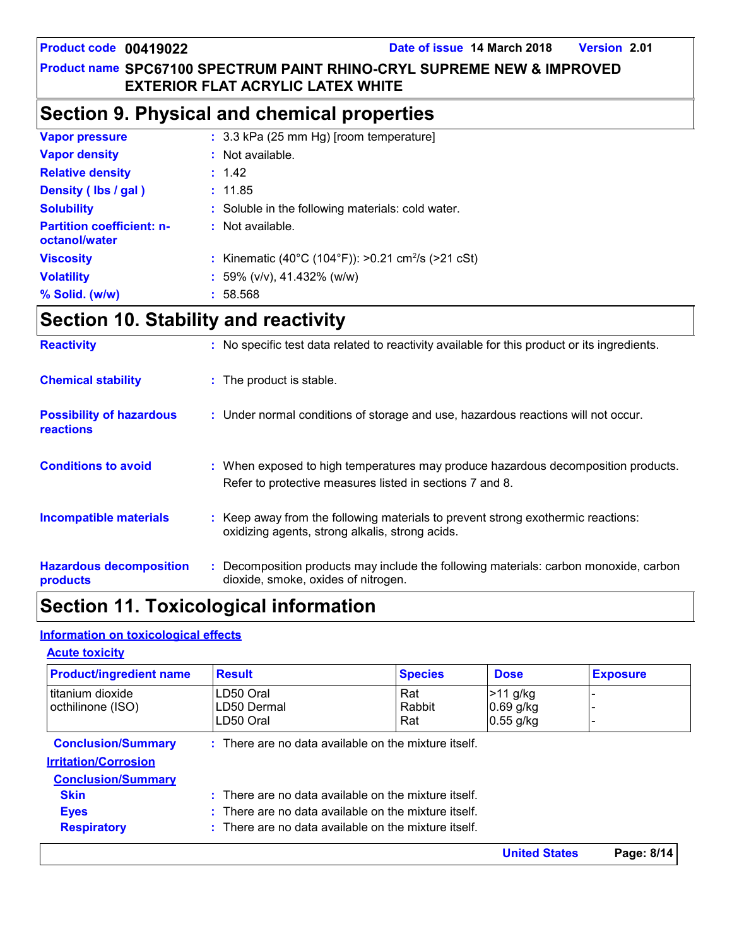# **Section 9. Physical and chemical properties**

| <b>Vapor pressure</b>                             | : 3.3 kPa (25 mm Hg) [room temperature]                        |
|---------------------------------------------------|----------------------------------------------------------------|
| <b>Vapor density</b>                              | : Not available.                                               |
| <b>Relative density</b>                           | : 1.42                                                         |
| Density (Ibs / gal)                               | : 11.85                                                        |
| <b>Solubility</b>                                 | : Soluble in the following materials: cold water.              |
| <b>Partition coefficient: n-</b><br>octanol/water | $:$ Not available.                                             |
| <b>Viscosity</b>                                  | : Kinematic (40°C (104°F)): >0.21 cm <sup>2</sup> /s (>21 cSt) |
| <b>Volatility</b>                                 | : 59% ( $v/v$ ), 41.432% ( $w/w$ )                             |
| $%$ Solid. (w/w)                                  | : 58.568                                                       |

# **Section 10. Stability and reactivity**

| <b>Reactivity</b>                            | : No specific test data related to reactivity available for this product or its ingredients.                                                  |
|----------------------------------------------|-----------------------------------------------------------------------------------------------------------------------------------------------|
| <b>Chemical stability</b>                    | : The product is stable.                                                                                                                      |
| <b>Possibility of hazardous</b><br>reactions | : Under normal conditions of storage and use, hazardous reactions will not occur.                                                             |
| <b>Conditions to avoid</b>                   | : When exposed to high temperatures may produce hazardous decomposition products.<br>Refer to protective measures listed in sections 7 and 8. |
| <b>Incompatible materials</b>                | : Keep away from the following materials to prevent strong exothermic reactions:<br>oxidizing agents, strong alkalis, strong acids.           |
| <b>Hazardous decomposition</b><br>products   | : Decomposition products may include the following materials: carbon monoxide, carbon<br>dioxide, smoke, oxides of nitrogen.                  |

# **Section 11. Toxicological information**

#### **Information on toxicological effects**

| <b>Product/ingredient name</b>                                                               | <b>Result</b>                                                   | <b>Species</b>                                                  | <b>Dose</b>          | <b>Exposure</b> |  |  |  |
|----------------------------------------------------------------------------------------------|-----------------------------------------------------------------|-----------------------------------------------------------------|----------------------|-----------------|--|--|--|
| I titanium dioxide                                                                           | LD50 Oral                                                       | Rat                                                             | $>11$ g/kg           |                 |  |  |  |
| octhilinone (ISO)                                                                            | LD50 Dermal                                                     | Rabbit                                                          | $0.69$ g/kg          |                 |  |  |  |
|                                                                                              | LD50 Oral                                                       | Rat                                                             | $0.55$ g/kg          |                 |  |  |  |
| <b>Conclusion/Summary</b><br>$\therefore$ There are no data available on the mixture itself. |                                                                 |                                                                 |                      |                 |  |  |  |
| <b>Irritation/Corrosion</b>                                                                  |                                                                 |                                                                 |                      |                 |  |  |  |
| <b>Conclusion/Summary</b>                                                                    |                                                                 |                                                                 |                      |                 |  |  |  |
| <b>Skin</b>                                                                                  | $\therefore$ There are no data available on the mixture itself. |                                                                 |                      |                 |  |  |  |
| <b>Eyes</b>                                                                                  | $\therefore$ There are no data available on the mixture itself. |                                                                 |                      |                 |  |  |  |
| <b>Respiratory</b>                                                                           |                                                                 | $\therefore$ There are no data available on the mixture itself. |                      |                 |  |  |  |
|                                                                                              |                                                                 |                                                                 | <b>United States</b> | Page: 8/14      |  |  |  |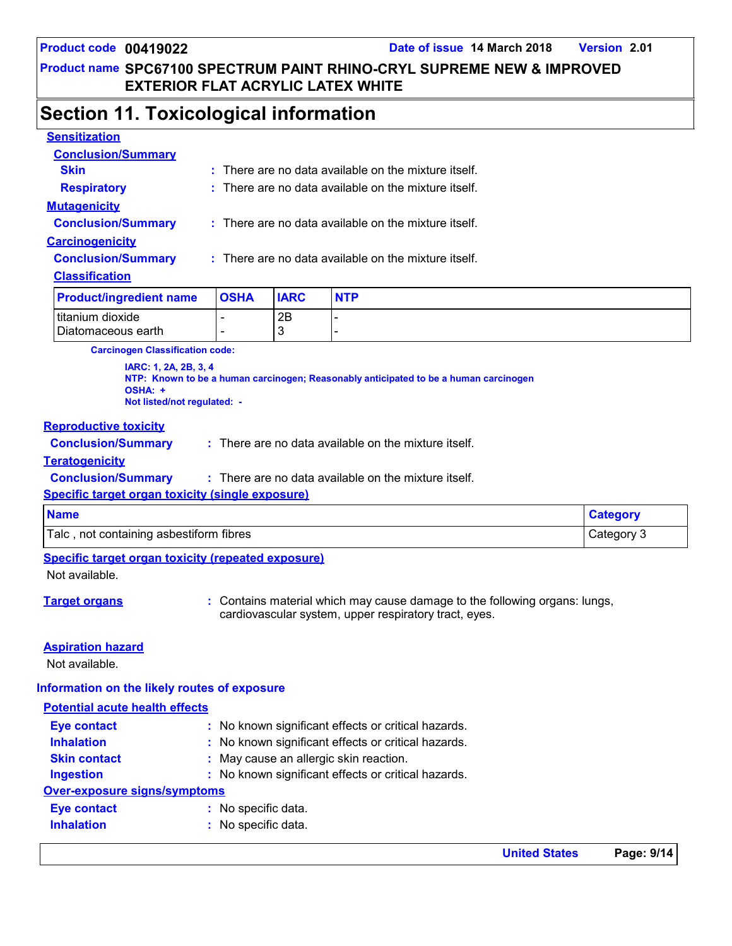### **Section 11. Toxicological information**

| <b>Sensitization</b>      |                                                                 |
|---------------------------|-----------------------------------------------------------------|
| <b>Conclusion/Summary</b> |                                                                 |
| <b>Skin</b>               | $:$ There are no data available on the mixture itself.          |
| <b>Respiratory</b>        | $\therefore$ There are no data available on the mixture itself. |
| <b>Mutagenicity</b>       |                                                                 |
| <b>Conclusion/Summary</b> | $:$ There are no data available on the mixture itself.          |
| <b>Carcinogenicity</b>    |                                                                 |
| <b>Conclusion/Summary</b> | $:$ There are no data available on the mixture itself.          |
| <b>Classification</b>     |                                                                 |
|                           |                                                                 |

| <b>Product/ingredient name</b> | <b>OSHA</b> | <b>IARC</b> | <b>NTP</b> |
|--------------------------------|-------------|-------------|------------|
| titanium dioxide               |             | 2B          |            |
| Diatomaceous earth             |             |             |            |

**Carcinogen Classification code:**

**IARC: 1, 2A, 2B, 3, 4 NTP: Known to be a human carcinogen; Reasonably anticipated to be a human carcinogen OSHA: + Not listed/not regulated: -**

#### **Reproductive toxicity**

| <b>Conclusion/Summary</b> | There are no data available on the mixture itself. |
|---------------------------|----------------------------------------------------|
|                           |                                                    |

#### **Teratogenicity**

**Conclusion/Summary :** There are no data available on the mixture itself.

#### **Specific target organ toxicity (single exposure)**

| <b>Name</b>                                   |            |
|-----------------------------------------------|------------|
| not containing asbestiform fibres<br>$T$ alc, | Category 3 |

#### **Specific target organ toxicity (repeated exposure)**

Not available.

**Target organs 1988 :** Contains material which may cause damage to the following organs: lungs, cardiovascular system, upper respiratory tract, eyes.

#### **Aspiration hazard**

Not available.

#### **Information on the likely routes of exposure**

#### **Potential acute health effects**

| <b>Eye contact</b>           | : No known significant effects or critical hazards. |  |
|------------------------------|-----------------------------------------------------|--|
| <b>Inhalation</b>            | : No known significant effects or critical hazards. |  |
| <b>Skin contact</b>          | : May cause an allergic skin reaction.              |  |
| <b>Ingestion</b>             | : No known significant effects or critical hazards. |  |
| Over-exposure signs/symptoms |                                                     |  |
| <b>Eye contact</b>           | : No specific data.                                 |  |
| <b>Inhalation</b>            | : No specific data.                                 |  |
|                              |                                                     |  |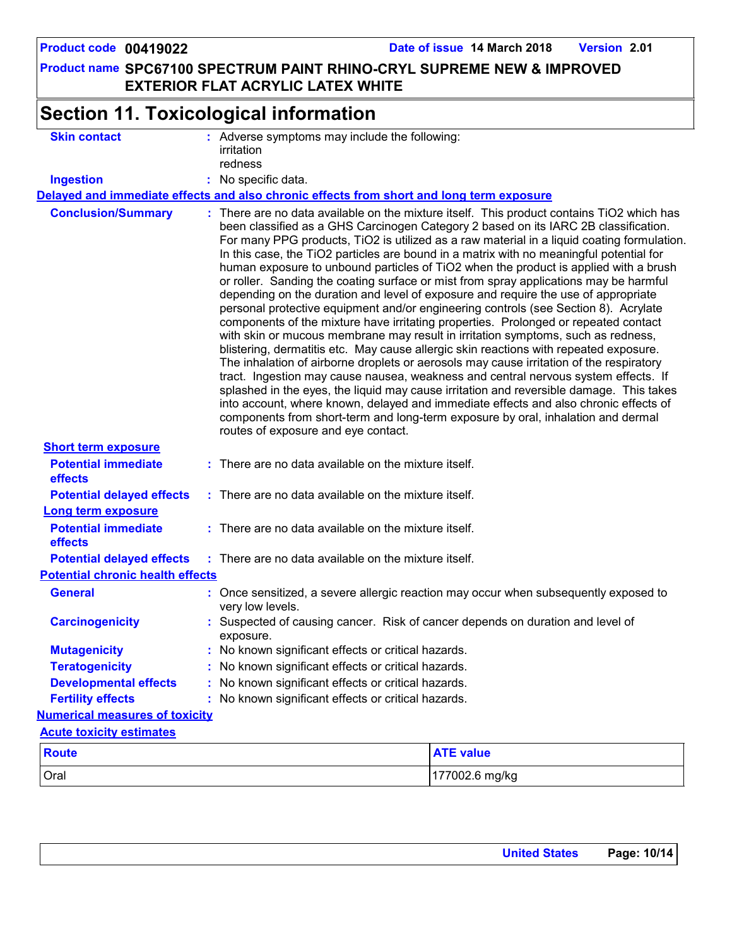**Product name SPC67100 SPECTRUM PAINT RHINO-CRYL SUPREME NEW & IMPROVED EXTERIOR FLAT ACRYLIC LATEX WHITE Product code 00419022 Date of issue 14 March 2018 Version 2.01 Section 11. Toxicological information Conclusion/Summary : General : Carcinogenicity : Mutagenicity : Teratogenicity : Developmental effects : Fertility effects : Potential chronic health effects Delayed and immediate effects and also chronic effects from short and long term exposure Numerical measures of toxicity** Oral 177002.6 mg/kg **Route ATE value Acute toxicity estimates Potential immediate effects :** There are no data available on the mixture itself. **Short term exposure Potential delayed effects : Potential immediate effects :** There are no data available on the mixture itself. **Long term exposure Potential delayed effects : Skin contact Ingestion :** No specific data. Adverse symptoms may include the following: **:** irritation redness Suspected of causing cancer. Risk of cancer depends on duration and level of exposure. There are no data available on the mixture itself. This product contains TiO2 which has been classified as a GHS Carcinogen Category 2 based on its IARC 2B classification. For many PPG products, TiO2 is utilized as a raw material in a liquid coating formulation. In this case, the TiO2 particles are bound in a matrix with no meaningful potential for human exposure to unbound particles of TiO2 when the product is applied with a brush or roller. Sanding the coating surface or mist from spray applications may be harmful depending on the duration and level of exposure and require the use of appropriate personal protective equipment and/or engineering controls (see Section 8). Acrylate components of the mixture have irritating properties. Prolonged or repeated contact with skin or mucous membrane may result in irritation symptoms, such as redness, blistering, dermatitis etc. May cause allergic skin reactions with repeated exposure. The inhalation of airborne droplets or aerosols may cause irritation of the respiratory tract. Ingestion may cause nausea, weakness and central nervous system effects. If splashed in the eyes, the liquid may cause irritation and reversible damage. This takes into account, where known, delayed and immediate effects and also chronic effects of components from short-term and long-term exposure by oral, inhalation and dermal routes of exposure and eye contact. Once sensitized, a severe allergic reaction may occur when subsequently exposed to very low levels. No known significant effects or critical hazards. No known significant effects or critical hazards. : No known significant effects or critical hazards. : No known significant effects or critical hazards. There are no data available on the mixture itself. There are no data available on the mixture itself.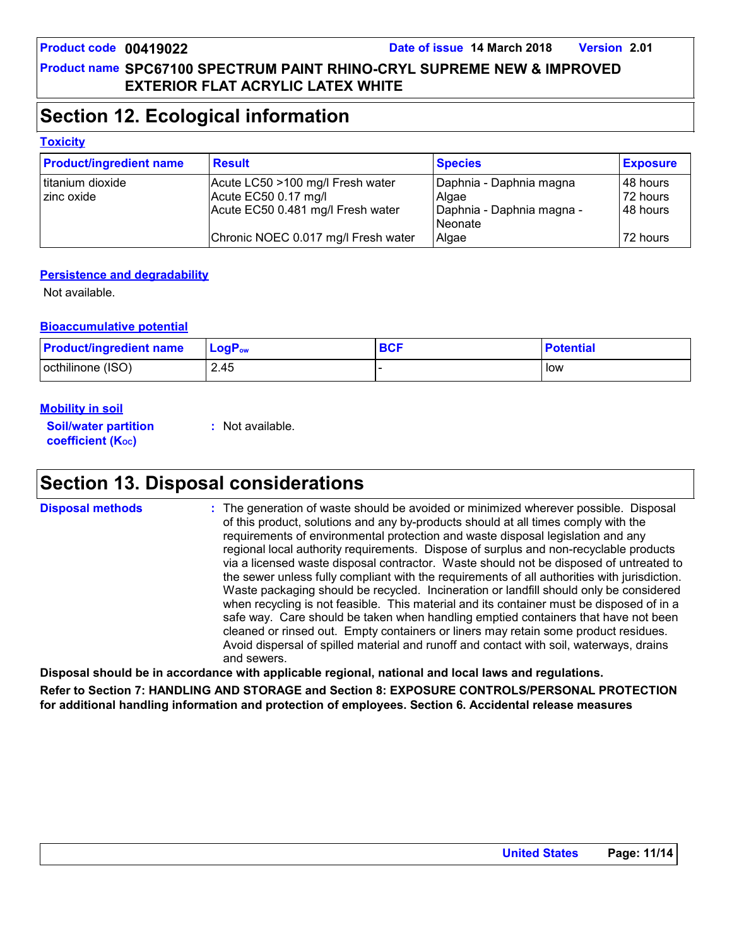# **Section 12. Ecological information**

#### **Toxicity**

| <b>Product/ingredient name</b> | <b>Result</b>                       | <b>Species</b>                         | <b>Exposure</b> |
|--------------------------------|-------------------------------------|----------------------------------------|-----------------|
| Ititanium dioxide              | Acute LC50 >100 mg/l Fresh water    | Daphnia - Daphnia magna                | 48 hours        |
| I zinc oxide                   | Acute EC50 0.17 mg/l                | Algae                                  | 72 hours        |
|                                | Acute EC50 0.481 mg/l Fresh water   | Daphnia - Daphnia magna -<br>l Neonate | 48 hours        |
|                                | Chronic NOEC 0.017 mg/l Fresh water | Algae                                  | 72 hours        |

#### **Persistence and degradability**

Not available.

#### **Bioaccumulative potential**

| <b>Product/ingredient name</b> | $ $ LogP <sub>ow</sub> | <b>BCF</b> | <b>Potential</b> |
|--------------------------------|------------------------|------------|------------------|
| octhilinone (ISO)              | 2.45                   |            | low              |

#### **Mobility in soil**

**Soil/water partition coefficient (KOC)**

**:** Not available.

# **Section 13. Disposal considerations**

The generation of waste should be avoided or minimized wherever possible. Disposal of this product, solutions and any by-products should at all times comply with the requirements of environmental protection and waste disposal legislation and any regional local authority requirements. Dispose of surplus and non-recyclable products via a licensed waste disposal contractor. Waste should not be disposed of untreated to the sewer unless fully compliant with the requirements of all authorities with jurisdiction. Waste packaging should be recycled. Incineration or landfill should only be considered when recycling is not feasible. This material and its container must be disposed of in a safe way. Care should be taken when handling emptied containers that have not been cleaned or rinsed out. Empty containers or liners may retain some product residues. Avoid dispersal of spilled material and runoff and contact with soil, waterways, drains and sewers. **Disposal methods :**

**Disposal should be in accordance with applicable regional, national and local laws and regulations.**

**Refer to Section 7: HANDLING AND STORAGE and Section 8: EXPOSURE CONTROLS/PERSONAL PROTECTION for additional handling information and protection of employees. Section 6. Accidental release measures**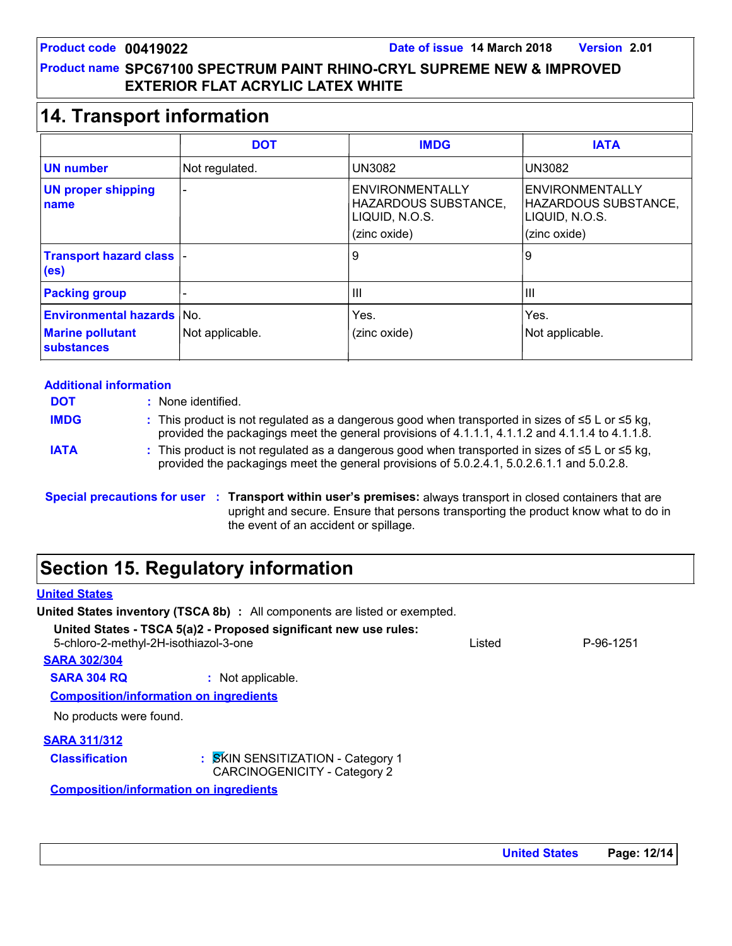## **14. Transport information**

|                                                       | <b>DOT</b>               | <b>IMDG</b>                                                                      | <b>IATA</b>                                                                      |
|-------------------------------------------------------|--------------------------|----------------------------------------------------------------------------------|----------------------------------------------------------------------------------|
| <b>UN number</b>                                      | Not regulated.           | <b>UN3082</b>                                                                    | <b>UN3082</b>                                                                    |
| <b>UN proper shipping</b><br>name                     | $\overline{\phantom{0}}$ | <b>ENVIRONMENTALLY</b><br>HAZARDOUS SUBSTANCE,<br>LIQUID, N.O.S.<br>(zinc oxide) | <b>ENVIRONMENTALLY</b><br>HAZARDOUS SUBSTANCE,<br>LIQUID, N.O.S.<br>(zinc oxide) |
| <b>Transport hazard class  -</b><br>(e <sub>s</sub> ) |                          | 9                                                                                | 9                                                                                |
| <b>Packing group</b>                                  | $\overline{\phantom{a}}$ | Ш                                                                                | Ш                                                                                |
| <b>Environmental hazards No.</b>                      |                          | Yes.                                                                             | Yes.                                                                             |
| <b>Marine pollutant</b><br><b>substances</b>          | Not applicable.          | (zinc oxide)                                                                     | Not applicable.                                                                  |

| <b>Additional information</b> |                                                                                                                                                                                                                |  |
|-------------------------------|----------------------------------------------------------------------------------------------------------------------------------------------------------------------------------------------------------------|--|
| <b>DOT</b>                    | : None identified.                                                                                                                                                                                             |  |
| <b>IMDG</b>                   | : This product is not regulated as a dangerous good when transported in sizes of $\leq 5$ L or $\leq 5$ kg,<br>provided the packagings meet the general provisions of 4.1.1.1, 4.1.1.2 and 4.1.1.4 to 4.1.1.8. |  |
| <b>IATA</b>                   | : This product is not regulated as a dangerous good when transported in sizes of $\leq 5$ L or $\leq 5$ kg,<br>provided the packagings meet the general provisions of 5.0.2.4.1, 5.0.2.6.1.1 and 5.0.2.8.      |  |
|                               | Special precautions for user : Transport within user's premises: always transport in closed containers that are                                                                                                |  |

upright and secure. Ensure that persons transporting the product know what to do in the event of an accident or spillage.

# **Section 15. Regulatory information**

### **United States**

**United States inventory (TSCA 8b) :** All components are listed or exempted.

**United States - TSCA 5(a)2 - Proposed significant new use rules:** 5-chloro-2-methyl-2H-isothiazol-3-one Listed P-96-1251

| <b>SARA 302/304</b>                           |                                                                          |  |
|-----------------------------------------------|--------------------------------------------------------------------------|--|
| <b>SARA 304 RQ</b>                            | : Not applicable.                                                        |  |
| <b>Composition/information on ingredients</b> |                                                                          |  |
| No products were found.                       |                                                                          |  |
| <b>SARA 311/312</b>                           |                                                                          |  |
| <b>Classification</b>                         | : SKIN SENSITIZATION - Category 1<br><b>CARCINOGENICITY - Category 2</b> |  |
| <b>Composition/information on ingredients</b> |                                                                          |  |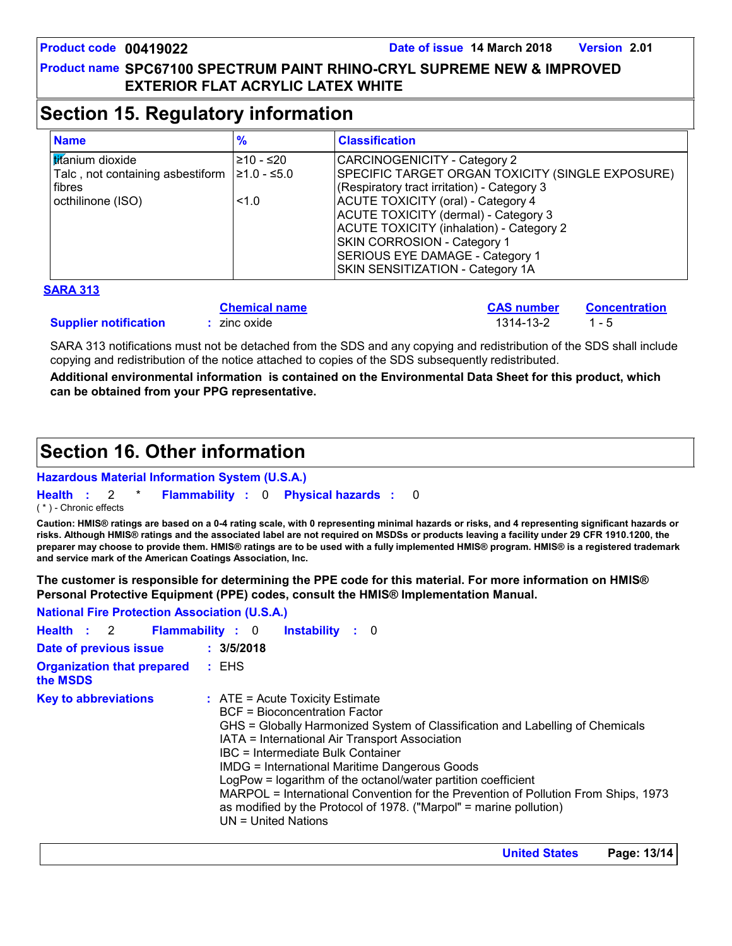# **Section 15. Regulatory information**

| <b>Name</b>                                                                                               | %                | <b>Classification</b>                                                                                                                                                                                                                                                                                                                                                                       |
|-----------------------------------------------------------------------------------------------------------|------------------|---------------------------------------------------------------------------------------------------------------------------------------------------------------------------------------------------------------------------------------------------------------------------------------------------------------------------------------------------------------------------------------------|
| <b>Ititanium</b> dioxide<br>Talc, not containing asbestiform $ 21.0 - 5.0$<br>fibres<br>octhilinone (ISO) | ≥10 - ≤20<br>1.0 | <b>CARCINOGENICITY - Category 2</b><br>SPECIFIC TARGET ORGAN TOXICITY (SINGLE EXPOSURE)<br>(Respiratory tract irritation) - Category 3<br><b>ACUTE TOXICITY (oral) - Category 4</b><br>ACUTE TOXICITY (dermal) - Category 3<br><b>ACUTE TOXICITY (inhalation) - Category 2</b><br><b>SKIN CORROSION - Category 1</b><br>SERIOUS EYE DAMAGE - Category 1<br>SKIN SENSITIZATION - Category 1A |

#### **SARA 313**

|                              | <b>Chemical name</b> | <b>CAS number</b> Concentration |         |
|------------------------------|----------------------|---------------------------------|---------|
| <b>Supplier notification</b> | $:$ zinc oxide       | 1314-13-2                       | $1 - 5$ |

SARA 313 notifications must not be detached from the SDS and any copying and redistribution of the SDS shall include copying and redistribution of the notice attached to copies of the SDS subsequently redistributed.

**Additional environmental information is contained on the Environmental Data Sheet for this product, which can be obtained from your PPG representative.**

# **Section 16. Other information**

#### **Hazardous Material Information System (U.S.A.)**

**Health** : 2 \* **Flammability** : 0 **Physical hazards** : 0 0

( \* ) - Chronic effects

**Caution: HMIS® ratings are based on a 0-4 rating scale, with 0 representing minimal hazards or risks, and 4 representing significant hazards or risks. Although HMIS® ratings and the associated label are not required on MSDSs or products leaving a facility under 29 CFR 1910.1200, the preparer may choose to provide them. HMIS® ratings are to be used with a fully implemented HMIS® program. HMIS® is a registered trademark and service mark of the American Coatings Association, Inc.**

**The customer is responsible for determining the PPE code for this material. For more information on HMIS® Personal Protective Equipment (PPE) codes, consult the HMIS® Implementation Manual.**

**National Fire Protection Association (U.S.A.)**

|                                               | Health : 2 Flammability : 0 Instability : 0                                                                                                                                                                                                                                                                                                                                                                                                                                                                                                                              |
|-----------------------------------------------|--------------------------------------------------------------------------------------------------------------------------------------------------------------------------------------------------------------------------------------------------------------------------------------------------------------------------------------------------------------------------------------------------------------------------------------------------------------------------------------------------------------------------------------------------------------------------|
| Date of previous issue                        | : 3/5/2018                                                                                                                                                                                                                                                                                                                                                                                                                                                                                                                                                               |
| <b>Organization that prepared</b><br>the MSDS | : EHS                                                                                                                                                                                                                                                                                                                                                                                                                                                                                                                                                                    |
| <b>Key to abbreviations</b>                   | $\therefore$ ATE = Acute Toxicity Estimate<br><b>BCF</b> = Bioconcentration Factor<br>GHS = Globally Harmonized System of Classification and Labelling of Chemicals<br>IATA = International Air Transport Association<br>IBC = Intermediate Bulk Container<br><b>IMDG = International Maritime Dangerous Goods</b><br>LogPow = logarithm of the octanol/water partition coefficient<br>MARPOL = International Convention for the Prevention of Pollution From Ships, 1973<br>as modified by the Protocol of 1978. ("Marpol" = marine pollution)<br>$UN = United Nations$ |